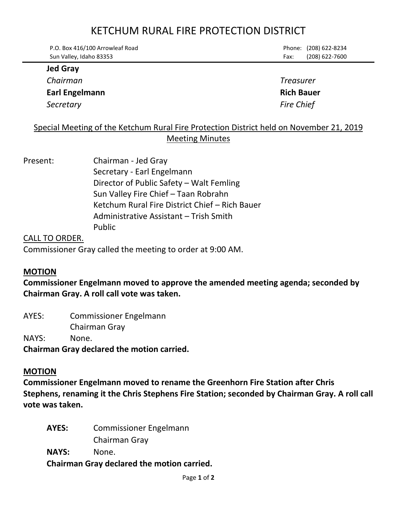# KETCHUM RURAL FIRE PROTECTION DISTRICT

| $\mathbf{L}$ and $\mathbf{L}$   |      |                       |
|---------------------------------|------|-----------------------|
| Sun Valley, Idaho 83353         | Fax: | (208) 622-7600        |
| P.O. Box 416/100 Arrowleaf Road |      | Phone: (208) 622-8234 |

## **Jed Gray**

*Chairman Treasurer*

*Secretary Fire Chief*

# **Earl Engelmann Rich Bauer**

# Special Meeting of the Ketchum Rural Fire Protection District held on November 21, 2019 Meeting Minutes

# Present: Chairman - Jed Gray Secretary - Earl Engelmann Director of Public Safety – Walt Femling Sun Valley Fire Chief – Taan Robrahn Ketchum Rural Fire District Chief – Rich Bauer Administrative Assistant – Trish Smith Public

# CALL TO ORDER. Commissioner Gray called the meeting to order at 9:00 AM.

#### **MOTION**

**Commissioner Engelmann moved to approve the amended meeting agenda; seconded by Chairman Gray. A roll call vote was taken.**

AYES: Commissioner Engelmann Chairman Gray NAYS: None. **Chairman Gray declared the motion carried.**

# **MOTION**

**Commissioner Engelmann moved to rename the Greenhorn Fire Station after Chris Stephens, renaming it the Chris Stephens Fire Station; seconded by Chairman Gray. A roll call vote was taken.**

**AYES:** Commissioner Engelmann Chairman Gray **NAYS:** None.

**Chairman Gray declared the motion carried.**